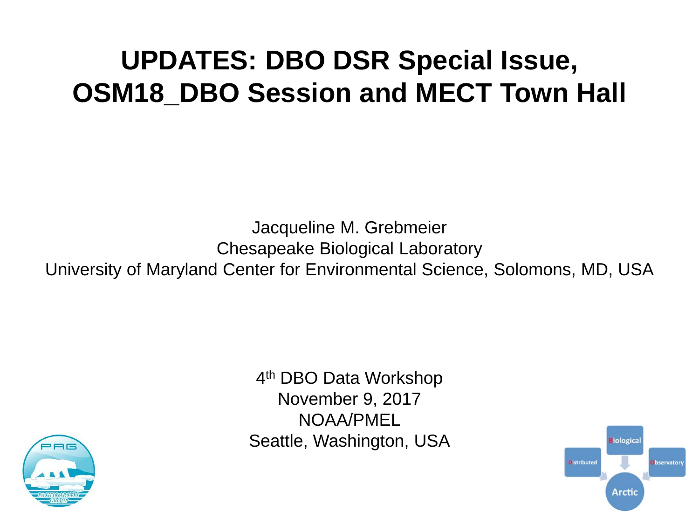# **UPDATES: DBO DSR Special Issue, OSM18 DBO Session and MECT Town Hall**

Jacqueline M. Grebmeier Chesapeake Biological Laboratory University of Maryland Center for Environmental Science, Solomons, MD, USA



4th DBO Data Workshop November 9, 2017 NOAA/PMEL Seattle, Washington, USA

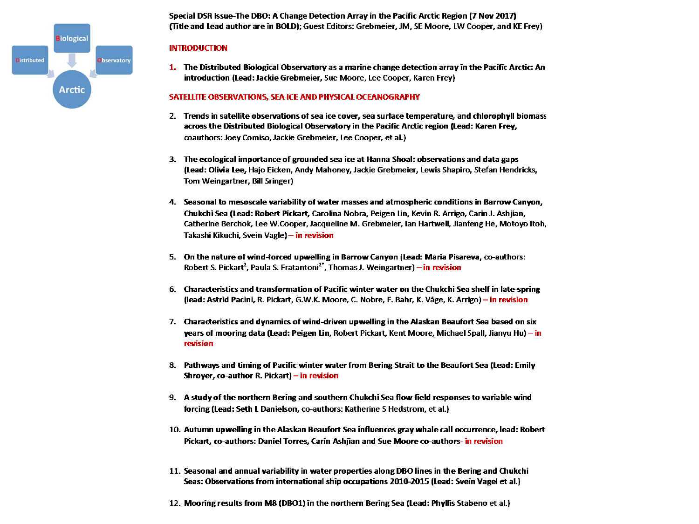

Special DSR Issue-The DBO: A Change Detection Array in the Pacific Arctic Region (7 Nov 2017) (Title and Lead author are in BOLD); Guest Editors: Grebmeier, JM, SE Moore, LW Cooper, and KE Frey)

#### **INTRODUCTION**

1. The Distributed Biological Observatory as a marine change detection array in the Pacific Arctic: An introduction (Lead: Jackie Grebmeier, Sue Moore, Lee Cooper, Karen Frey)

#### SATELLITE OBSERVATIONS, SEA ICE AND PHYSICAL OCEANOGRAPHY

- 2. Trends in satellite observations of sea ice cover, sea surface temperature, and chlorophyll biomass across the Distributed Biological Observatory in the Pacific Arctic region (Lead: Karen Frey, coauthors: Joey Comiso, Jackie Grebmeier, Lee Cooper, et al.)
- 3. The ecological importance of grounded sea ice at Hanna Shoal: observations and data gaps (Lead: Olivia Lee, Hajo Eicken, Andy Mahoney, Jackie Grebmeier, Lewis Shapiro, Stefan Hendricks, Tom Weingartner, Bill Sringer)
- 4. Seasonal to mesoscale variability of water masses and atmospheric conditions in Barrow Canyon, Chukchi Sea (Lead: Robert Pickart, Carolina Nobra, Peigen Lin, Kevin R. Arrigo, Carin J. Ashjian, Catherine Berchok, Lee W.Cooper, Jacqueline M. Grebmeier, Ian Hartwell, Jianfeng He, Motoyo Itoh, Takashi Kikuchi, Svein Vagle) – in revision
- 5. On the nature of wind-forced upwelling in Barrow Canyon (Lead: Maria Pisareva, co-authors: Robert S. Pickart<sup>2</sup>, Paula S. Fratantoni<sup>2\*</sup>, Thomas J. Weingartner) - in revision
- 6. Characteristics and transformation of Pacific winter water on the Chukchi Sea shelf in late-spring (lead: Astrid Pacini, R. Pickart, G.W.K. Moore, C. Nobre, F. Bahr, K. Våge, K. Arrigo) – in revision
- 7. Characteristics and dynamics of wind-driven upwelling in the Alaskan Beaufort Sea based on six years of mooring data (Lead: Peigen Lin, Robert Pickart, Kent Moore, Michael Spall, Jianyu Hu) – in revision
- 8. Pathways and timing of Pacific winter water from Bering Strait to the Beaufort Sea (Lead: Emily Shroyer, co-author R. Pickart) – in revision
- 9. A study of the northern Bering and southern Chukchi Sea flow field responses to variable wind forcing (Lead: Seth L Danielson, co-authors: Katherine S Hedstrom, et al.)
- 10. Autumn upwelling in the Alaskan Beaufort Sea influences gray whale call occurrence, lead: Robert Pickart, co-authors: Daniel Torres, Carin Ashijan and Sue Moore co-authors- in revision
- 11. Seasonal and annual variability in water properties along DBO lines in the Bering and Chukchi Seas: Observations from international ship occupations 2010-2015 (Lead: Svein Vagel et al.)
- 12. Mooring results from M8 (DBO1) in the northern Bering Sea (Lead: Phyllis Stabeno et al.)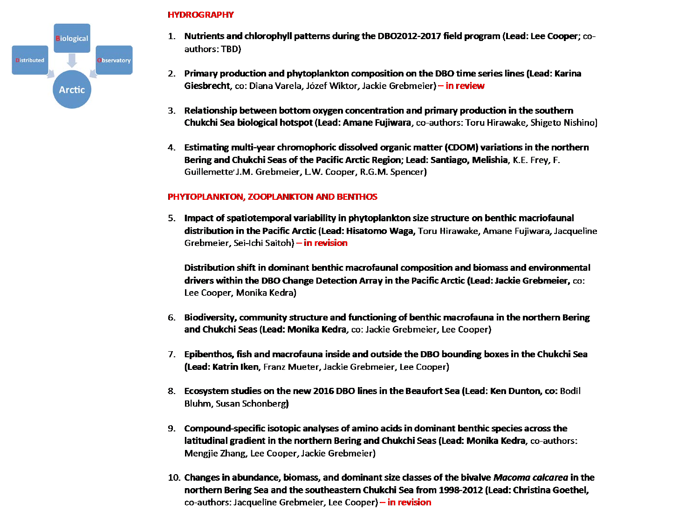

#### **HYDROGRAPHY**

- 1. Nutrients and chlorophyll patterns during the DBO2012-2017 field program (Lead: Lee Cooper: coauthors: TBD)
- 2. Primary production and phytoplankton composition on the DBO time series lines (Lead: Karina Giesbrecht, co: Diana Varela, Józef Wiktor, Jackie Grebmeier) – in review
- 3. Relationship between bottom oxygen concentration and primary production in the southern Chukchi Sea biological hotspot (Lead: Amane Fujiwara, co-authors: Toru Hirawake, Shigeto Nishino)
- 4. Estimating multi-year chromophoric dissolved organic matter (CDOM) variations in the northern Bering and Chukchi Seas of the Pacific Arctic Region; Lead: Santiago, Melishia, K.E. Frey, F. Guillemette' J.M. Grebmeier, L.W. Cooper, R.G.M. Spencer)

#### PHYTOPLANKTON, ZOOPLANKTON AND BENTHOS

5. Impact of spatiotemporal variability in phytoplankton size structure on benthic macriofaunal distribution in the Pacific Arctic (Lead: Hisatomo Waga, Toru Hirawake, Amane Fujiwara, Jacqueline Grebmeier, Sei-Ichi Saitoh) - in revision

Distribution shift in dominant benthic macrofaunal composition and biomass and environmental drivers within the DBO Change Detection Array in the Pacific Arctic (Lead: Jackie Grebmeier, co: Lee Cooper, Monika Kedra)

- 6. Biodiversity, community structure and functioning of benthic macrofauna in the northern Bering and Chukchi Seas (Lead: Monika Kedra, co: Jackie Grebmeier, Lee Cooper)
- 7. Epibenthos, fish and macrofauna inside and outside the DBO bounding boxes in the Chukchi Sea (Lead: Katrin Iken, Franz Mueter, Jackie Grebmeier, Lee Cooper)
- 8. Ecosystem studies on the new 2016 DBO lines in the Beaufort Sea (Lead: Ken Dunton, co: Bodil **Bluhm, Susan Schonberg)**
- 9. Compound-specific isotopic analyses of amino acids in dominant benthic species across the latitudinal gradient in the northern Bering and Chukchi Seas (Lead: Monika Kedra, co-authors: Mengjie Zhang, Lee Cooper, Jackie Grebmeier)
- 10. Changes in abundance, biomass, and dominant size classes of the bivalve Macoma calcarea in the northern Bering Sea and the southeastern Chukchi Sea from 1998-2012 (Lead: Christina Goethel, co-authors: Jacqueline Grebmeier, Lee Cooper) – in revision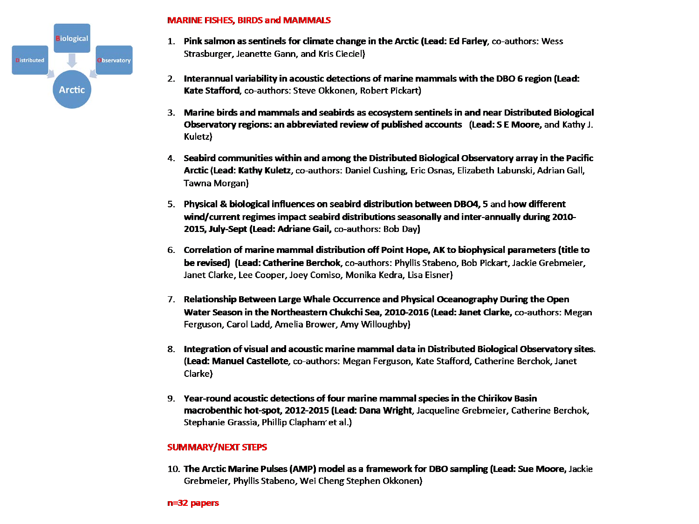

#### **MARINE FISHES, BIRDS and MAMMALS**

- 1. Pink salmon as sentinels for climate change in the Arctic (Lead: Ed Farley, co-authors: Wess Strasburger, Jeanette Gann, and Kris Cieciel)
- 2. Interannual variability in acoustic detections of marine mammals with the DBO 6 region (Lead: Kate Stafford, co-authors: Steve Okkonen, Robert Pickart)
- 3. Marine birds and mammals and seabirds as ecosystem sentinels in and near Distributed Biological Observatory regions: an abbreviated review of published accounts (Lead: S E Moore, and Kathy J. Kuletz)
- 4. Seabird communities within and among the Distributed Biological Observatory array in the Pacific Arctic (Lead: Kathy Kuletz, co-authors: Daniel Cushing, Eric Osnas, Elizabeth Labunski, Adrian Gall, Tawna Morgan)
- 5. Physical & biological influences on seabird distribution between DBO4, 5 and how different wind/current regimes impact seabird distributions seasonally and inter-annually during 2010-2015, July-Sept (Lead: Adriane Gail, co-authors: Bob Day)
- 6. Correlation of marine mammal distribution off Point Hope, AK to biophysical parameters (title to be revised) (Lead: Catherine Berchok, co-authors: Phyllis Stabeno, Bob Pickart, Jackie Grebmeier, Janet Clarke, Lee Cooper, Joey Comiso, Monika Kedra, Lisa Eisner)
- 7. Relationship Between Large Whale Occurrence and Physical Oceanography During the Open Water Season in the Northeastern Chukchi Sea, 2010-2016 (Lead: Janet Clarke, co-authors: Megan Ferguson, Carol Ladd, Amelia Brower, Amy Willoughby)
- 8. Integration of visual and acoustic marine mammal data in Distributed Biological Observatory sites. (Lead: Manuel Castellote, co-authors: Megan Ferguson, Kate Stafford, Catherine Berchok, Janet Clarke)
- 9. Year-round acoustic detections of four marine mammal species in the Chirikov Basin macrobenthic hot-spot, 2012-2015 (Lead: Dana Wright, Jacqueline Grebmeier, Catherine Berchok, Stephanie Grassia, Phillip Clapham' et al.)

#### **SUMMARY/NEXT STEPS**

10. The Arctic Marine Pulses (AMP) model as a framework for DBO sampling (Lead: Sue Moore, Jackie Grebmeier, Phyllis Stabeno, Wei Cheng Stephen Okkonen)

#### $n=32$  papers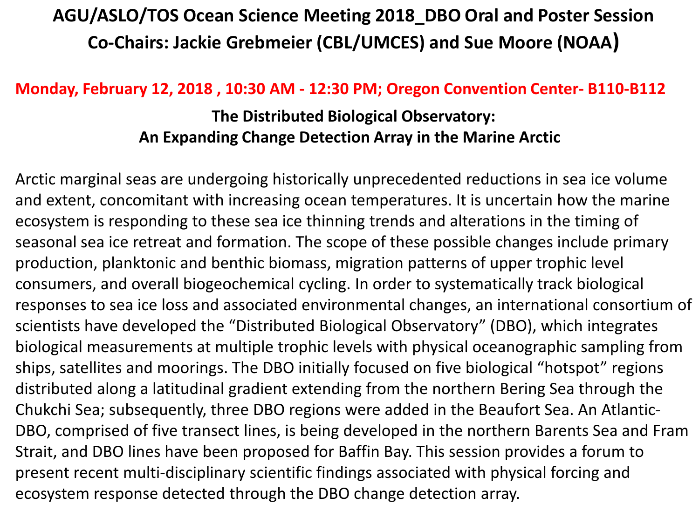## **AGU/ASLO/TOS Ocean Science Meeting 2018\_DBO Oral and Poster Session Co-Chairs: Jackie Grebmeier (CBL/UMCES) and Sue Moore (NOAA)**

### **Monday, February 12, 2018 , 10:30 AM - 12:30 PM; Oregon Convention Center- B110-B112**

### **The Distributed Biological Observatory: An Expanding Change Detection Array in the Marine Arctic**

Arctic marginal seas are undergoing historically unprecedented reductions in sea ice volume and extent, concomitant with increasing ocean temperatures. It is uncertain how the marine ecosystem is responding to these sea ice thinning trends and alterations in the timing of seasonal sea ice retreat and formation. The scope of these possible changes include primary production, planktonic and benthic biomass, migration patterns of upper trophic level consumers, and overall biogeochemical cycling. In order to systematically track biological responses to sea ice loss and associated environmental changes, an international consortium of scientists have developed the "Distributed Biological Observatory" (DBO), which integrates biological measurements at multiple trophic levels with physical oceanographic sampling from ships, satellites and moorings. The DBO initially focused on five biological "hotspot" regions distributed along a latitudinal gradient extending from the northern Bering Sea through the Chukchi Sea; subsequently, three DBO regions were added in the Beaufort Sea. An Atlantic-DBO, comprised of five transect lines, is being developed in the northern Barents Sea and Fram Strait, and DBO lines have been proposed for Baffin Bay. This session provides a forum to present recent multi-disciplinary scientific findings associated with physical forcing and ecosystem response detected through the DBO change detection array.